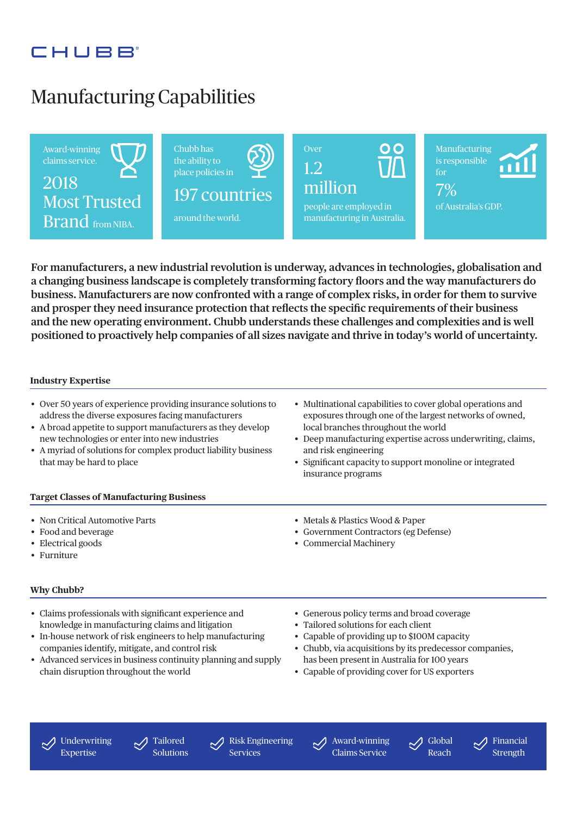# CHURR

# Manufacturing Capabilities



**For manufacturers, a new industrial revolution is underway, advances in technologies, globalisation and a changing business landscape is completely transforming factory floors and the way manufacturers do business. Manufacturers are now confronted with a range of complex risks, in order for them to survive and prosper they need insurance protection that reflects the specific requirements of their business and the new operating environment. Chubb understands these challenges and complexities and is well positioned to proactively help companies of all sizes navigate and thrive in today's world of uncertainty.**

#### **Industry Expertise**

- Over 50 years of experience providing insurance solutions to address the diverse exposures facing manufacturers
- A broad appetite to support manufacturers as they develop new technologies or enter into new industries
- A myriad of solutions for complex product liability business that may be hard to place
- Multinational capabilities to cover global operations and exposures through one of the largest networks of owned, local branches throughout the world
- Deep manufacturing expertise across underwriting, claims, and risk engineering
- Significant capacity to support monoline or integrated insurance programs

#### **Target Classes of Manufacturing Business**

- Non Critical Automotive Parts
- Food and beverage
- Electrical goods
- Furniture

### **Why Chubb?**

- Claims professionals with significant experience and knowledge in manufacturing claims and litigation
- In-house network of risk engineers to help manufacturing companies identify, mitigate, and control risk
- Advanced services in business continuity planning and supply chain disruption throughout the world
- Metals & Plastics Wood & Paper
- Government Contractors (eg Defense)
- Commercial Machinery
- Generous policy terms and broad coverage
- Tailored solutions for each client
- Capable of providing up to \$100M capacity
- Chubb, via acquisitions by its predecessor companies, has been present in Australia for 100 years
- Capable of providing cover for US exporters

 $\bigtriangledown$ Underwriting Expertise

Tailored Solutions Risk Engineering Services

Award-winning Claims Service



Financial **Strength**